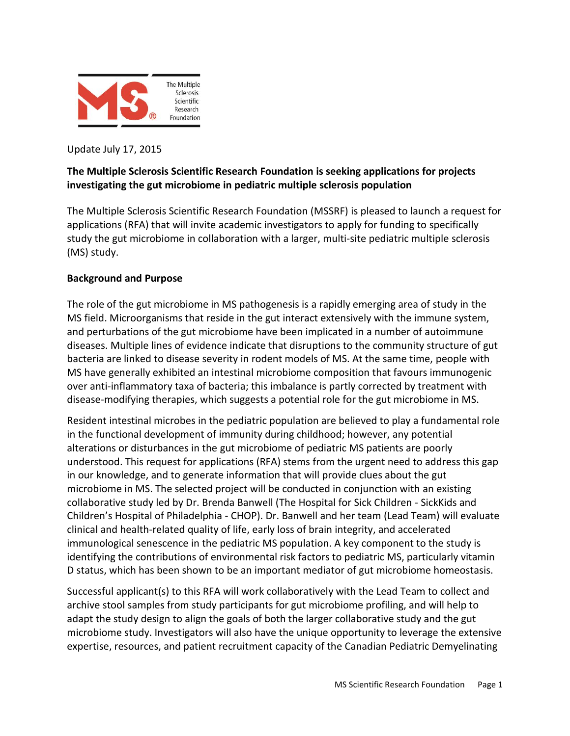

Update July 17, 2015

# **The Multiple Sclerosis Scientific Research Foundation is seeking applications for projects investigating the gut microbiome in pediatric multiple sclerosis population**

The Multiple Sclerosis Scientific Research Foundation (MSSRF) is pleased to launch a request for applications (RFA) that will invite academic investigators to apply for funding to specifically study the gut microbiome in collaboration with a larger, multi-site pediatric multiple sclerosis (MS) study.

### **Background and Purpose**

The role of the gut microbiome in MS pathogenesis is a rapidly emerging area of study in the MS field. Microorganisms that reside in the gut interact extensively with the immune system, and perturbations of the gut microbiome have been implicated in a number of autoimmune diseases. Multiple lines of evidence indicate that disruptions to the community structure of gut bacteria are linked to disease severity in rodent models of MS. At the same time, people with MS have generally exhibited an intestinal microbiome composition that favours immunogenic over anti-inflammatory taxa of bacteria; this imbalance is partly corrected by treatment with disease-modifying therapies, which suggests a potential role for the gut microbiome in MS.

Resident intestinal microbes in the pediatric population are believed to play a fundamental role in the functional development of immunity during childhood; however, any potential alterations or disturbances in the gut microbiome of pediatric MS patients are poorly understood. This request for applications (RFA) stems from the urgent need to address this gap in our knowledge, and to generate information that will provide clues about the gut microbiome in MS. The selected project will be conducted in conjunction with an existing collaborative study led by Dr. Brenda Banwell (The Hospital for Sick Children - SickKids and Children's Hospital of Philadelphia - CHOP). Dr. Banwell and her team (Lead Team) will evaluate clinical and health-related quality of life, early loss of brain integrity, and accelerated immunological senescence in the pediatric MS population. A key component to the study is identifying the contributions of environmental risk factors to pediatric MS, particularly vitamin D status, which has been shown to be an important mediator of gut microbiome homeostasis.

Successful applicant(s) to this RFA will work collaboratively with the Lead Team to collect and archive stool samples from study participants for gut microbiome profiling, and will help to adapt the study design to align the goals of both the larger collaborative study and the gut microbiome study. Investigators will also have the unique opportunity to leverage the extensive expertise, resources, and patient recruitment capacity of the Canadian Pediatric Demyelinating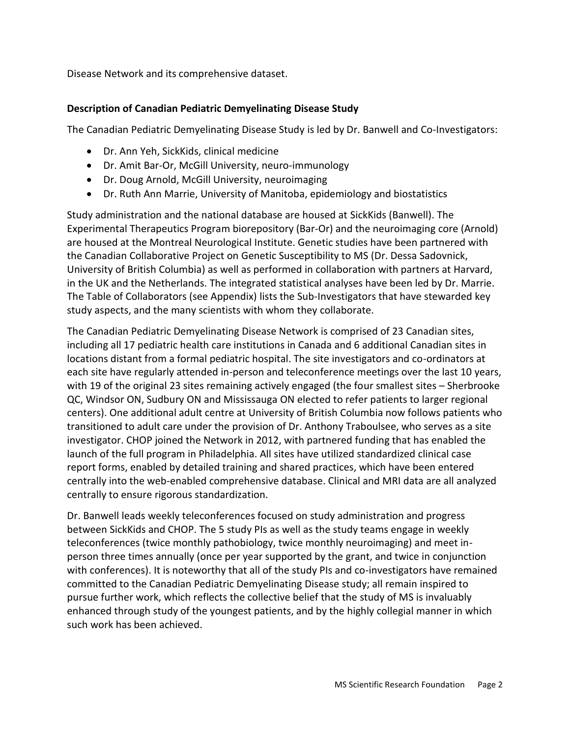Disease Network and its comprehensive dataset.

### **Description of Canadian Pediatric Demyelinating Disease Study**

The Canadian Pediatric Demyelinating Disease Study is led by Dr. Banwell and Co-Investigators:

- Dr. Ann Yeh, SickKids, clinical medicine
- Dr. Amit Bar-Or, McGill University, neuro-immunology
- Dr. Doug Arnold, McGill University, neuroimaging
- Dr. Ruth Ann Marrie, University of Manitoba, epidemiology and biostatistics

Study administration and the national database are housed at SickKids (Banwell). The Experimental Therapeutics Program biorepository (Bar-Or) and the neuroimaging core (Arnold) are housed at the Montreal Neurological Institute. Genetic studies have been partnered with the Canadian Collaborative Project on Genetic Susceptibility to MS (Dr. Dessa Sadovnick, University of British Columbia) as well as performed in collaboration with partners at Harvard, in the UK and the Netherlands. The integrated statistical analyses have been led by Dr. Marrie. The Table of Collaborators (see Appendix) lists the Sub-Investigators that have stewarded key study aspects, and the many scientists with whom they collaborate.

The Canadian Pediatric Demyelinating Disease Network is comprised of 23 Canadian sites, including all 17 pediatric health care institutions in Canada and 6 additional Canadian sites in locations distant from a formal pediatric hospital. The site investigators and co-ordinators at each site have regularly attended in-person and teleconference meetings over the last 10 years, with 19 of the original 23 sites remaining actively engaged (the four smallest sites – Sherbrooke QC, Windsor ON, Sudbury ON and Mississauga ON elected to refer patients to larger regional centers). One additional adult centre at University of British Columbia now follows patients who transitioned to adult care under the provision of Dr. Anthony Traboulsee, who serves as a site investigator. CHOP joined the Network in 2012, with partnered funding that has enabled the launch of the full program in Philadelphia. All sites have utilized standardized clinical case report forms, enabled by detailed training and shared practices, which have been entered centrally into the web-enabled comprehensive database. Clinical and MRI data are all analyzed centrally to ensure rigorous standardization.

Dr. Banwell leads weekly teleconferences focused on study administration and progress between SickKids and CHOP. The 5 study PIs as well as the study teams engage in weekly teleconferences (twice monthly pathobiology, twice monthly neuroimaging) and meet inperson three times annually (once per year supported by the grant, and twice in conjunction with conferences). It is noteworthy that all of the study PIs and co-investigators have remained committed to the Canadian Pediatric Demyelinating Disease study; all remain inspired to pursue further work, which reflects the collective belief that the study of MS is invaluably enhanced through study of the youngest patients, and by the highly collegial manner in which such work has been achieved.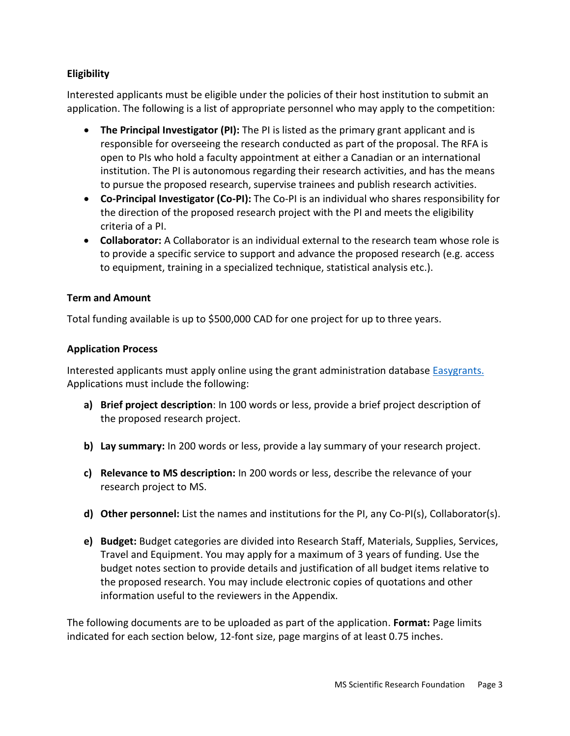## **Eligibility**

Interested applicants must be eligible under the policies of their host institution to submit an application. The following is a list of appropriate personnel who may apply to the competition:

- **The Principal Investigator (PI):** The PI is listed as the primary grant applicant and is responsible for overseeing the research conducted as part of the proposal. The RFA is open to PIs who hold a faculty appointment at either a Canadian or an international institution. The PI is autonomous regarding their research activities, and has the means to pursue the proposed research, supervise trainees and publish research activities.
- **Co-Principal Investigator (Co-PI):** The Co-PI is an individual who shares responsibility for the direction of the proposed research project with the PI and meets the eligibility criteria of a PI.
- **Collaborator:** A Collaborator is an individual external to the research team whose role is to provide a specific service to support and advance the proposed research (e.g. access to equipment, training in a specialized technique, statistical analysis etc.).

### **Term and Amount**

Total funding available is up to \$500,000 CAD for one project for up to three years.

### **Application Process**

Interested applicants must apply online using the grant administration database **Easygrants**. Applications must include the following:

- **a) Brief project description**: In 100 words or less, provide a brief project description of the proposed research project.
- **b) Lay summary:** In 200 words or less, provide a lay summary of your research project.
- **c) Relevance to MS description:** In 200 words or less, describe the relevance of your research project to MS.
- **d) Other personnel:** List the names and institutions for the PI, any Co-PI(s), Collaborator(s).
- **e) Budget:** Budget categories are divided into Research Staff, Materials, Supplies, Services, Travel and Equipment. You may apply for a maximum of 3 years of funding. Use the budget notes section to provide details and justification of all budget items relative to the proposed research. You may include electronic copies of quotations and other information useful to the reviewers in the Appendix.

The following documents are to be uploaded as part of the application. **Format:** Page limits indicated for each section below, 12-font size, page margins of at least 0.75 inches.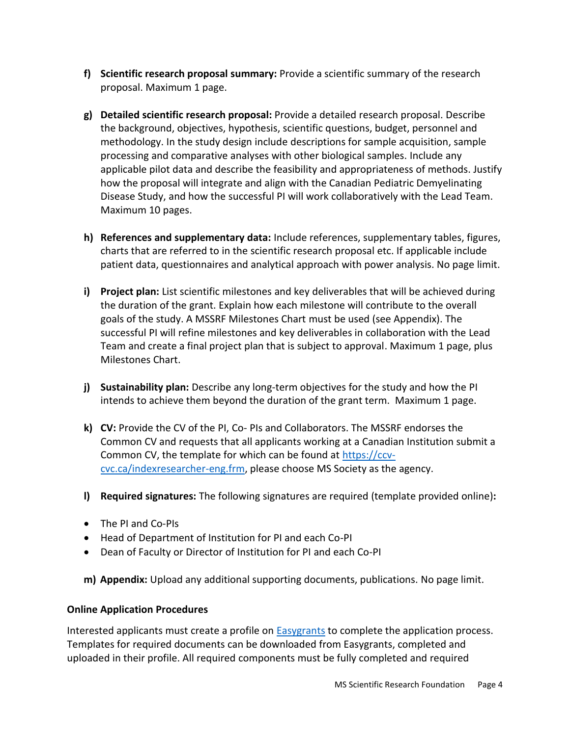- **f) Scientific research proposal summary:** Provide a scientific summary of the research proposal. Maximum 1 page.
- **g) Detailed scientific research proposal:** Provide a detailed research proposal. Describe the background, objectives, hypothesis, scientific questions, budget, personnel and methodology. In the study design include descriptions for sample acquisition, sample processing and comparative analyses with other biological samples. Include any applicable pilot data and describe the feasibility and appropriateness of methods. Justify how the proposal will integrate and align with the Canadian Pediatric Demyelinating Disease Study, and how the successful PI will work collaboratively with the Lead Team. Maximum 10 pages.
- **h) References and supplementary data:** Include references, supplementary tables, figures, charts that are referred to in the scientific research proposal etc. If applicable include patient data, questionnaires and analytical approach with power analysis. No page limit.
- **i) Project plan:** List scientific milestones and key deliverables that will be achieved during the duration of the grant. Explain how each milestone will contribute to the overall goals of the study. A MSSRF Milestones Chart must be used (see Appendix). The successful PI will refine milestones and key deliverables in collaboration with the Lead Team and create a final project plan that is subject to approval. Maximum 1 page, plus Milestones Chart.
- **j) Sustainability plan:** Describe any long-term objectives for the study and how the PI intends to achieve them beyond the duration of the grant term. Maximum 1 page.
- **k) CV:** Provide the CV of the PI, Co- PIs and Collaborators. The MSSRF endorses the Common CV and requests that all applicants working at a Canadian Institution submit a Common CV, the template for which can be found at [https://ccv](https://ccv-cvc.ca/indexresearcher-eng.frm)[cvc.ca/indexresearcher-eng.frm,](https://ccv-cvc.ca/indexresearcher-eng.frm) please choose MS Society as the agency.
- **l) Required signatures:** The following signatures are required (template provided online)**:**
- The PI and Co-PIs
- Head of Department of Institution for PI and each Co-PI
- Dean of Faculty or Director of Institution for PI and each Co-PI
- **m) Appendix:** Upload any additional supporting documents, publications. No page limit.

## **Online Application Procedures**

Interested applicants must create a profile on [Easygrants](https://www.mscanadagrants.ca/) to complete the application process. Templates for required documents can be downloaded from Easygrants, completed and uploaded in their profile. All required components must be fully completed and required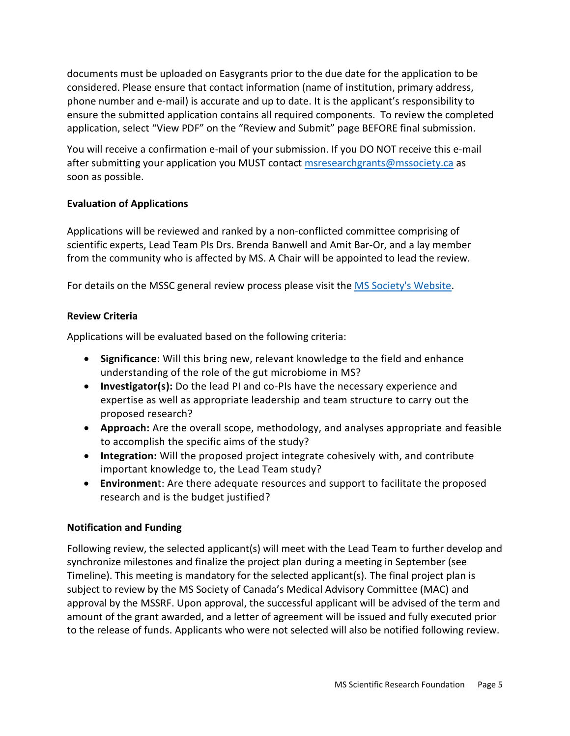documents must be uploaded on Easygrants prior to the due date for the application to be considered. Please ensure that contact information (name of institution, primary address, phone number and e-mail) is accurate and up to date. It is the applicant's responsibility to ensure the submitted application contains all required components. To review the completed application, select "View PDF" on the "Review and Submit" page BEFORE final submission.

You will receive a confirmation e-mail of your submission. If you DO NOT receive this e-mail after submitting your application you MUST contact [msresearchgrants@mssociety.ca](mailto:msresearchgrants@mssociety.ca) as soon as possible.

## **Evaluation of Applications**

Applications will be reviewed and ranked by a non-conflicted committee comprising of scientific experts, Lead Team PIs Drs. Brenda Banwell and Amit Bar-Or, and a lay member from the community who is affected by MS. A Chair will be appointed to lead the review.

For details on the MSSC general review process please visit the MS Society's [Website.](https://beta.mssociety.ca/information-for-researchers/review-process-and-criteria)

# **Review Criteria**

Applications will be evaluated based on the following criteria:

- **Significance**: Will this bring new, relevant knowledge to the field and enhance understanding of the role of the gut microbiome in MS?
- **Investigator(s):** Do the lead PI and co-PIs have the necessary experience and expertise as well as appropriate leadership and team structure to carry out the proposed research?
- **Approach:** Are the overall scope, methodology, and analyses appropriate and feasible to accomplish the specific aims of the study?
- **Integration:** Will the proposed project integrate cohesively with, and contribute important knowledge to, the Lead Team study?
- **Environmen**t: Are there adequate resources and support to facilitate the proposed research and is the budget justified?

# **Notification and Funding**

Following review, the selected applicant(s) will meet with the Lead Team to further develop and synchronize milestones and finalize the project plan during a meeting in September (see Timeline). This meeting is mandatory for the selected applicant(s). The final project plan is subject to review by the MS Society of Canada's Medical Advisory Committee (MAC) and approval by the MSSRF. Upon approval, the successful applicant will be advised of the term and amount of the grant awarded, and a letter of agreement will be issued and fully executed prior to the release of funds. Applicants who were not selected will also be notified following review.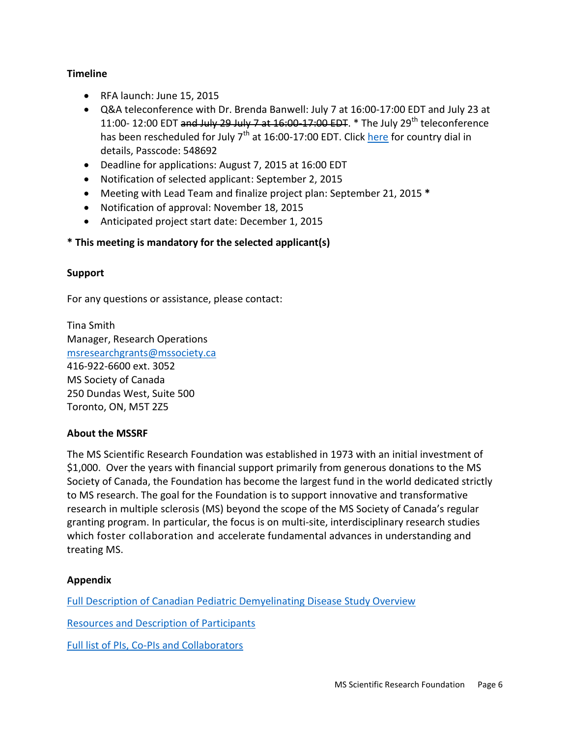### **Timeline**

- RFA launch: June 15, 2015
- Q&A teleconference with Dr. Brenda Banwell: July 7 at 16:00-17:00 EDT and July 23 at 11:00- 12:00 EDT and July 29 July 7 at  $16:00$  17:00 EDT.  $*$  The July 29<sup>th</sup> teleconference has been rescheduled for July 7<sup>th</sup> at 16:00-17:00 EDT. Click [here](https://www.dropbox.com/s/u8pqydu8d5ppuga/Global%20Local%20and%20Toll-Free%20Numbers.pdf?dl=0) for country dial in details, Passcode: 548692
- Deadline for applications: August 7, 2015 at 16:00 EDT
- Notification of selected applicant: September 2, 2015
- Meeting with Lead Team and finalize project plan: September 21, 2015 **\***
- Notification of approval: November 18, 2015
- Anticipated project start date: December 1, 2015

## **\* This meeting is mandatory for the selected applicant(s)**

### **Support**

For any questions or assistance, please contact:

Tina Smith Manager, Research Operations [msresearchgrants@mssociety.ca](mailto:msresearchgrants@mssociety.ca) 416-922-6600 ext. 3052 MS Society of Canada 250 Dundas West, Suite 500 Toronto, ON, M5T 2Z5

#### **About the MSSRF**

The MS Scientific Research Foundation was established in 1973 with an initial investment of \$1,000. Over the years with financial support primarily from generous donations to the MS Society of Canada, the Foundation has become the largest fund in the world dedicated strictly to MS research. The goal for the Foundation is to support innovative and transformative research in multiple sclerosis (MS) beyond the scope of the MS Society of Canada's regular granting program. In particular, the focus is on multi-site, interdisciplinary research studies which foster collaboration and accelerate fundamental advances in understanding and treating MS.

#### **Appendix**

[Full Description of Canadian Pediatric Demyelinating Disease Study Overview](https://www.dropbox.com/s/z53yf2vdnz1majk/The%20Canadian%20Pediatric%20Demyelinating%20Disease%20Study%20Overview.docx?dl=0)

[Resources and Description of Participants](https://www.dropbox.com/s/xxyn0i7l1st6a1u/Resources_GutRFA_2015.docx?dl=0)

[Full list of PIs, Co-PIs and Collaborators](https://www.dropbox.com/s/09bq1rnfbnm00bp/Team%20List_GutRFA_2015.docx?dl=0)